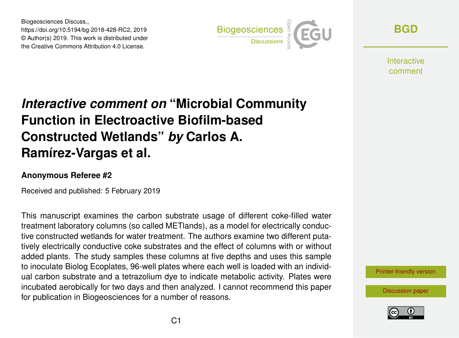Biogeosciences Discuss., https://doi.org/10.5194/bg-2018-428-RC2, 2019 © Author(s) 2019. This work is distributed under the Creative Commons Attribution 4.0 License.



**[BGD](https://www.biogeosciences-discuss.net/)**

**Interactive** comment

## *Interactive comment on* **"Microbial Community Function in Electroactive Biofilm-based Constructed Wetlands"** *by* **Carlos A. Ramírez-Vargas et al.**

## **Anonymous Referee #2**

Received and published: 5 February 2019

This manuscript examines the carbon substrate usage of different coke-filled water treatment laboratory columns (so called METlands), as a model for electrically conductive constructed wetlands for water treatment. The authors examine two different putatively electrically conductive coke substrates and the effect of columns with or without added plants. The study samples these columns at five depths and uses this sample to inoculate Biolog Ecoplates, 96-well plates where each well is loaded with an individual carbon substrate and a tetrazolium dye to indicate metabolic activity. Plates were incubated aerobically for two days and then analyzed. I cannot recommend this paper for publication in Biogeosciences for a number of reasons.

[Printer-friendly version](https://www.biogeosciences-discuss.net/bg-2018-428/bg-2018-428-RC2-print.pdf)

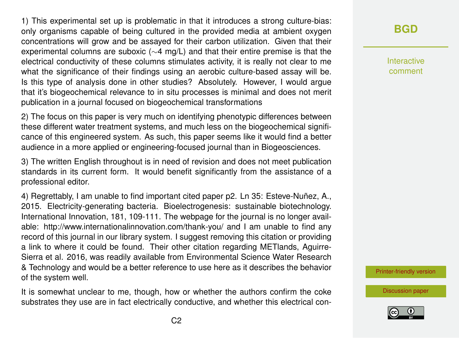1) This experimental set up is problematic in that it introduces a strong culture-bias: only organisms capable of being cultured in the provided media at ambient oxygen concentrations will grow and be assayed for their carbon utilization. Given that their experimental columns are suboxic (∼4 mg/L) and that their entire premise is that the electrical conductivity of these columns stimulates activity, it is really not clear to me what the significance of their findings using an aerobic culture-based assay will be. Is this type of analysis done in other studies? Absolutely. However, I would argue that it's biogeochemical relevance to in situ processes is minimal and does not merit publication in a journal focused on biogeochemical transformations

2) The focus on this paper is very much on identifying phenotypic differences between these different water treatment systems, and much less on the biogeochemical significance of this engineered system. As such, this paper seems like it would find a better audience in a more applied or engineering-focused journal than in Biogeosciences.

3) The written English throughout is in need of revision and does not meet publication standards in its current form. It would benefit significantly from the assistance of a professional editor.

4) Regrettably, I am unable to find important cited paper p2. Ln 35: Esteve-Nuñez, A., 2015. Electricity-generating bacteria. Bioelectrogenesis: sustainable biotechnology. International Innovation, 181, 109-111. The webpage for the journal is no longer available: http://www.internationalinnovation.com/thank-you/ and I am unable to find any record of this journal in our library system. I suggest removing this citation or providing a link to where it could be found. Their other citation regarding METlands, Aguirre-Sierra et al. 2016, was readily available from Environmental Science Water Research & Technology and would be a better reference to use here as it describes the behavior of the system well.

It is somewhat unclear to me, though, how or whether the authors confirm the coke substrates they use are in fact electrically conductive, and whether this electrical con-

## **[BGD](https://www.biogeosciences-discuss.net/)**

Interactive comment

[Printer-friendly version](https://www.biogeosciences-discuss.net/bg-2018-428/bg-2018-428-RC2-print.pdf)

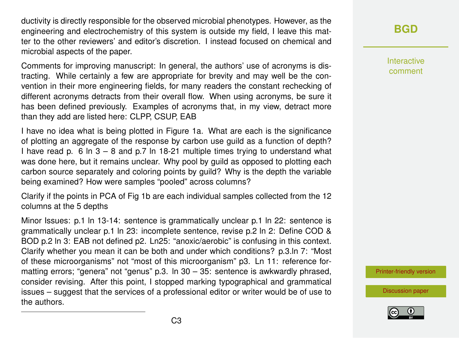ductivity is directly responsible for the observed microbial phenotypes. However, as the engineering and electrochemistry of this system is outside my field, I leave this matter to the other reviewers' and editor's discretion. I instead focused on chemical and microbial aspects of the paper.

Comments for improving manuscript: In general, the authors' use of acronyms is distracting. While certainly a few are appropriate for brevity and may well be the convention in their more engineering fields, for many readers the constant rechecking of different acronyms detracts from their overall flow. When using acronyms, be sure it has been defined previously. Examples of acronyms that, in my view, detract more than they add are listed here: CLPP, CSUP, EAB

I have no idea what is being plotted in Figure 1a. What are each is the significance of plotting an aggregate of the response by carbon use guild as a function of depth? I have read p. 6 ln  $3 - 8$  and p.7 ln 18-21 multiple times trying to understand what was done here, but it remains unclear. Why pool by guild as opposed to plotting each carbon source separately and coloring points by guild? Why is the depth the variable being examined? How were samples "pooled" across columns?

Clarify if the points in PCA of Fig 1b are each individual samples collected from the 12 columns at the 5 depths

Minor Issues: p.1 ln 13-14: sentence is grammatically unclear p.1 ln 22: sentence is grammatically unclear p.1 ln 23: incomplete sentence, revise p.2 ln 2: Define COD & BOD p.2 ln 3: EAB not defined p2. Ln25: "anoxic/aerobic" is confusing in this context. Clarify whether you mean it can be both and under which conditions? p.3.ln 7: "Most of these microorganisms" not "most of this microorganism" p3. Ln 11: reference formatting errors; "genera" not "genus" p.3. In  $30 - 35$ : sentence is awkwardly phrased, consider revising. After this point, I stopped marking typographical and grammatical issues – suggest that the services of a professional editor or writer would be of use to the authors.

## **[BGD](https://www.biogeosciences-discuss.net/)**

Interactive comment

[Printer-friendly version](https://www.biogeosciences-discuss.net/bg-2018-428/bg-2018-428-RC2-print.pdf)